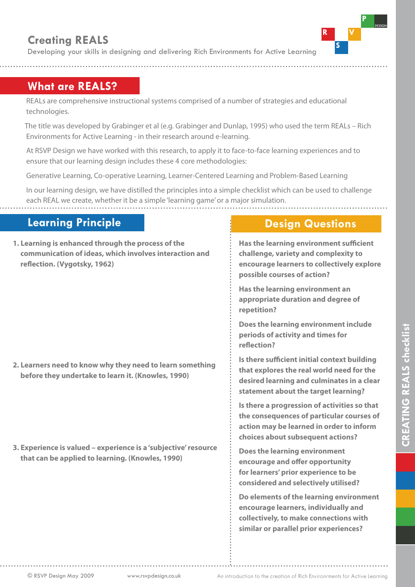# **Creating REALS**

Developing your skills in designing and delivering Rich Environments for Active Learning

### **What are REALS?**

REALs are comprehensive instructional systems comprised of a number of strategies and educational technologies.

 The title was developed by Grabinger et al (e.g. Grabinger and Dunlap, 1995) who used the term REALs – Rich Environments for Active Learning - in their research around e-learning.

At RSVP Design we have worked with this research, to apply it to face-to-face learning experiences and to ensure that our learning design includes these 4 core methodologies:

Generative Learning, Co-operative Learning, Learner-Centered Learning and Problem-Based Learning

In our learning design, we have distilled the principles into a simple checklist which can be used to challenge each REAL we create, whether it be a simple 'learning game' or a major simulation.

## **Learning Principle**

**1. Learning is enhanced through the process of the communication of ideas, which involves interaction and reflection. (Vygotsky, 1962)**

#### **2. Learners need to know why they need to learn something before they undertake to learn it. (Knowles, 1990)**

**3. Experience is valued – experience is a 'subjective' resource that can be applied to learning. (Knowles, 1990)**

#### **Design Questions**

 **Has the learning environment sufficient challenge, variety and complexity to encourage learners to collectively explore possible courses of action?** 

**Has the learning environment an appropriate duration and degree of repetition?** 

**Does the learning environment include periods of activity and times for reflection?** 

**Is there sufficient initial context building that explores the real world need for the desired learning and culminates in a clear statement about the target learning?** 

**Is there a progression of activities so that the consequences of particular courses of action may be learned in order to inform choices about subsequent actions?** 

**Does the learning environment encourage and offer opportunity for learners' prior experience to be considered and selectively utilised?** 

**Do elements of the learning environment encourage learners, individually and collectively, to make connections with similar or parallel prior experiences?**